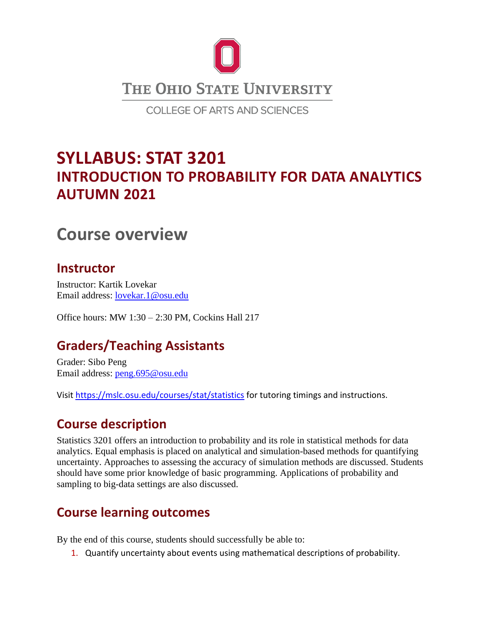

# **SYLLABUS: STAT 3201 INTRODUCTION TO PROBABILITY FOR DATA ANALYTICS AUTUMN 2021**

# **Course overview**

### **Instructor**

Instructor: Kartik Lovekar Email address: [lovekar.1@osu.edu](mailto:lovekar.1@osu.edu)

Office hours: MW 1:30 – 2:30 PM, Cockins Hall 217

## **Graders/Teaching Assistants**

Grader: Sibo Peng Email address: [peng.695@osu.edu](mailto:peng.695@osu.edu)

Visi[t https://mslc.osu.edu/courses/stat/statistics](https://mslc.osu.edu/courses/stat/statistics) for tutoring timings and instructions.

### **Course description**

Statistics 3201 offers an introduction to probability and its role in statistical methods for data analytics. Equal emphasis is placed on analytical and simulation-based methods for quantifying uncertainty. Approaches to assessing the accuracy of simulation methods are discussed. Students should have some prior knowledge of basic programming. Applications of probability and sampling to big-data settings are also discussed.

### **Course learning outcomes**

By the end of this course, students should successfully be able to:

1. Quantify uncertainty about events using mathematical descriptions of probability.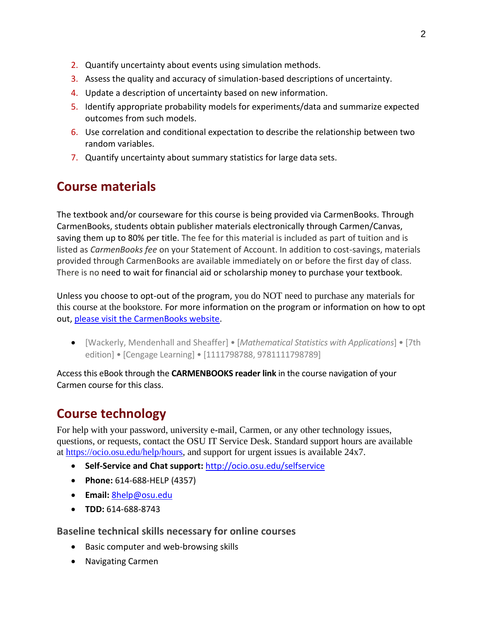- 2. Quantify uncertainty about events using simulation methods.
- 3. Assess the quality and accuracy of simulation-based descriptions of uncertainty.
- 4. Update a description of uncertainty based on new information.
- 5. Identify appropriate probability models for experiments/data and summarize expected outcomes from such models.
- 6. Use correlation and conditional expectation to describe the relationship between two random variables.
- 7. Quantify uncertainty about summary statistics for large data sets.

### **Course materials**

The textbook and/or courseware for this course is being provided via CarmenBooks. Through CarmenBooks, students obtain publisher materials electronically through Carmen/Canvas, saving them up to 80% per title. The fee for this material is included as part of tuition and is listed as *CarmenBooks fee* on your Statement of Account. In addition to cost-savings, materials provided through CarmenBooks are available immediately on or before the first day of class. There is no need to wait for financial aid or scholarship money to purchase your textbook.

Unless you choose to opt-out of the program, you do NOT need to purchase any materials for this course at the bookstore. For more information on the program or information on how to opt out, [please visit the CarmenBooks website.](https://affordablelearning.osu.edu/carmenbooks/students)

• [Wackerly, Mendenhall and Sheaffer] • [*Mathematical Statistics with Applications*] • [7th edition] • [Cengage Learning] • [1111798788, 9781111798789]

Access this eBook through the **CARMENBOOKS reader link** in the course navigation of your Carmen course for this class.

## **Course technology**

For help with your password, university e-mail, Carmen, or any other technology issues, questions, or requests, contact the OSU IT Service Desk. Standard support hours are available at [https://ocio.osu.edu/help/hours,](https://ocio.osu.edu/help/hours) and support for urgent issues is available 24x7.

- **Self-Service and Chat support:** <http://ocio.osu.edu/selfservice>
- **Phone:** 614-688-HELP (4357)
- **Email:** [8help@osu.edu](mailto:8help@osu.edu)
- **TDD:** 614-688-8743

#### **Baseline technical skills necessary for online courses**

- Basic computer and web-browsing skills
- Navigating Carmen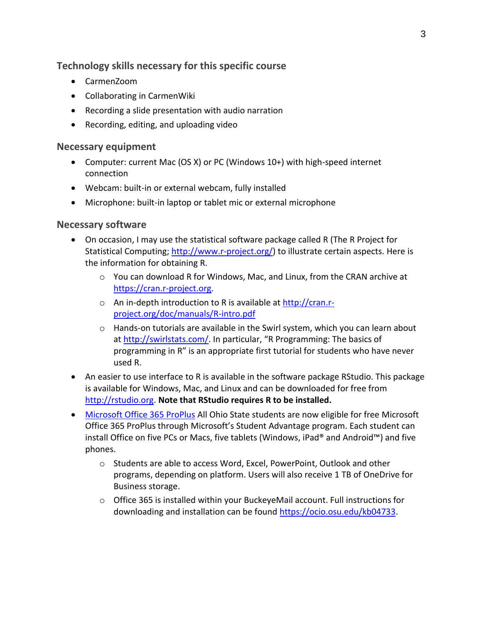#### **Technology skills necessary for this specific course**

- CarmenZoom
- Collaborating in CarmenWiki
- Recording a slide presentation with audio narration
- Recording, editing, and uploading video

#### **Necessary equipment**

- Computer: current Mac (OS X) or PC (Windows 10+) with high-speed internet connection
- Webcam: built-in or external webcam, fully installed
- Microphone: built-in laptop or tablet mic or external microphone

#### **Necessary software**

- On occasion, I may use the statistical software package called R (The R Project for Statistical Computing; [http://www.r-project.org/\)](http://www.r-project.org/) to illustrate certain aspects. Here is the information for obtaining R.
	- o You can download R for Windows, Mac, and Linux, from the CRAN archive at [https://cran.r-project.org.](https://cran.r-project.org/)
	- o An in-depth introduction to R is available at [http://cran.r](http://cran.r-project.org/doc/manuals/R-intro.pdf)[project.org/doc/manuals/R-intro.pdf](http://cran.r-project.org/doc/manuals/R-intro.pdf)
	- $\circ$  Hands-on tutorials are available in the Swirl system, which you can learn about at<http://swirlstats.com/>. In particular, "R Programming: The basics of programming in R" is an appropriate first tutorial for students who have never used R.
- An easier to use interface to R is available in the software package RStudio. This package is available for Windows, Mac, and Linux and can be downloaded for free from [http://rstudio.org.](http://rstudio.org/) **Note that RStudio requires R to be installed.**
- [Microsoft Office 365 ProPlus](https://ocio.osu.edu/blog/community/2015/08/18/free-microsoft-office-for-ohio-state-students) All Ohio State students are now eligible for free Microsoft Office 365 ProPlus through Microsoft's Student Advantage program. Each student can install Office on five PCs or Macs, five tablets (Windows, iPad® and Android™) and five phones.
	- o Students are able to access Word, Excel, PowerPoint, Outlook and other programs, depending on platform. Users will also receive 1 TB of OneDrive for Business storage.
	- $\circ$  Office 365 is installed within your BuckeyeMail account. Full instructions for downloading and installation can be found [https://ocio.osu.edu/kb04733.](https://ocio.osu.edu/kb04733)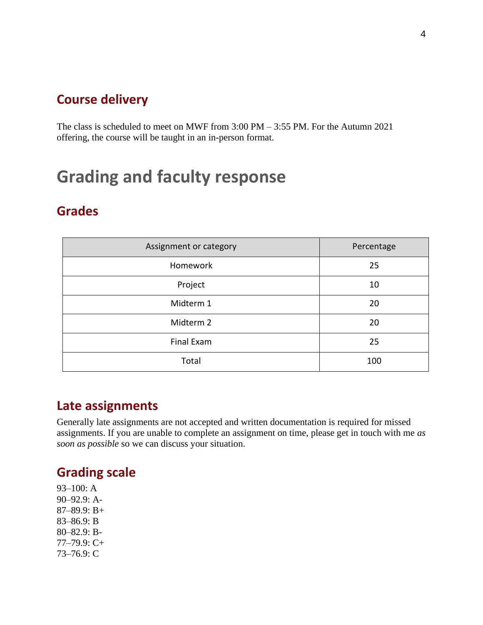### **Course delivery**

The class is scheduled to meet on MWF from 3:00 PM – 3:55 PM. For the Autumn 2021 offering, the course will be taught in an in-person format.

# **Grading and faculty response**

### **Grades**

| Assignment or category | Percentage |
|------------------------|------------|
| Homework               | 25         |
| Project                | 10         |
| Midterm 1              | 20         |
| Midterm 2              | 20         |
| Final Exam             | 25         |
| Total                  | 100        |

### **Late assignments**

Generally late assignments are not accepted and written documentation is required for missed assignments. If you are unable to complete an assignment on time, please get in touch with me *as soon as possible* so we can discuss your situation.

### **Grading scale**

93–100: A 90–92.9: A-87–89.9: B+ 83–86.9: B 80–82.9: B-77–79.9: C+ 73–76.9: C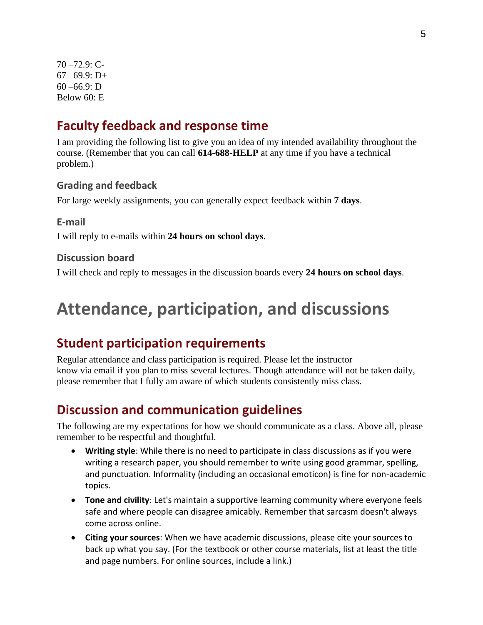70 –72.9: C- $67 - 69.9$ : D+  $60 - 66.9$ : D Below 60: E

### **Faculty feedback and response time**

I am providing the following list to give you an idea of my intended availability throughout the course. (Remember that you can call **614-688-HELP** at any time if you have a technical problem.)

#### **Grading and feedback**

For large weekly assignments, you can generally expect feedback within **7 days**.

**E-mail**

I will reply to e-mails within **24 hours on school days**.

#### **Discussion board**

I will check and reply to messages in the discussion boards every **24 hours on school days**.

# **Attendance, participation, and discussions**

### **Student participation requirements**

Regular attendance and class participation is required. Please let the instructor know via email if you plan to miss several lectures. Though attendance will not be taken daily, please remember that I fully am aware of which students consistently miss class.

### **Discussion and communication guidelines**

The following are my expectations for how we should communicate as a class. Above all, please remember to be respectful and thoughtful.

- **Writing style**: While there is no need to participate in class discussions as if you were writing a research paper, you should remember to write using good grammar, spelling, and punctuation. Informality (including an occasional emoticon) is fine for non-academic topics.
- **Tone and civility**: Let's maintain a supportive learning community where everyone feels safe and where people can disagree amicably. Remember that sarcasm doesn't always come across online.
- **Citing your sources**: When we have academic discussions, please cite your sources to back up what you say. (For the textbook or other course materials, list at least the title and page numbers. For online sources, include a link.)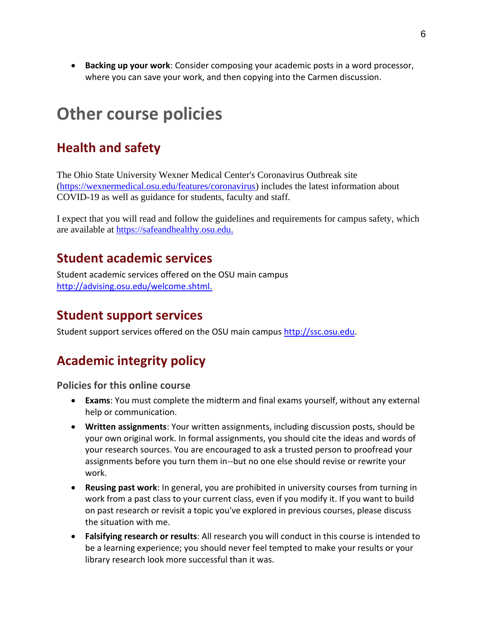• **Backing up your work**: Consider composing your academic posts in a word processor, where you can save your work, and then copying into the Carmen discussion.

# **Other course policies**

# **Health and safety**

The Ohio State University Wexner Medical Center's Coronavirus Outbreak site [\(https://wexnermedical.osu.edu/features/coronavirus\)](https://wexnermedical.osu.edu/features/coronavirus) includes the latest information about COVID-19 as well as guidance for students, faculty and staff.

I expect that you will read and follow the guidelines and requirements for campus safety, which are available at [https://safeandhealthy.osu.edu.](https://safeandhealthy.osu.edu/)

### **Student academic services**

Student academic services offered on the OSU main campus [http://advising.osu.edu/welcome.shtml.](http://advising.osu.edu/welcome.shtml)

### **Student support services**

Student support services offered on the OSU main campus [http://ssc.osu.edu.](http://ssc.osu.edu/)

# **Academic integrity policy**

**Policies for this online course**

- **Exams**: You must complete the midterm and final exams yourself, without any external help or communication.
- **Written assignments**: Your written assignments, including discussion posts, should be your own original work. In formal assignments, you should cite the ideas and words of your research sources. You are encouraged to ask a trusted person to proofread your assignments before you turn them in--but no one else should revise or rewrite your work.
- **Reusing past work**: In general, you are prohibited in university courses from turning in work from a past class to your current class, even if you modify it. If you want to build on past research or revisit a topic you've explored in previous courses, please discuss the situation with me.
- **Falsifying research or results**: All research you will conduct in this course is intended to be a learning experience; you should never feel tempted to make your results or your library research look more successful than it was.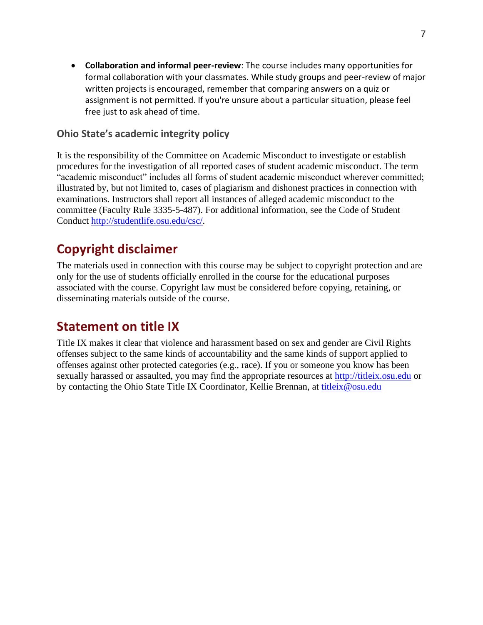• **Collaboration and informal peer-review**: The course includes many opportunities for formal collaboration with your classmates. While study groups and peer-review of major written projects is encouraged, remember that comparing answers on a quiz or assignment is not permitted. If you're unsure about a particular situation, please feel free just to ask ahead of time.

#### **Ohio State's academic integrity policy**

It is the responsibility of the Committee on Academic Misconduct to investigate or establish procedures for the investigation of all reported cases of student academic misconduct. The term "academic misconduct" includes all forms of student academic misconduct wherever committed; illustrated by, but not limited to, cases of plagiarism and dishonest practices in connection with examinations. Instructors shall report all instances of alleged academic misconduct to the committee (Faculty Rule 3335-5-487). For additional information, see the Code of Student Conduct [http://studentlife.osu.edu/csc/.](http://studentlife.osu.edu/csc/)

# **Copyright disclaimer**

The materials used in connection with this course may be subject to copyright protection and are only for the use of students officially enrolled in the course for the educational purposes associated with the course. Copyright law must be considered before copying, retaining, or disseminating materials outside of the course.

### **Statement on title IX**

Title IX makes it clear that violence and harassment based on sex and gender are Civil Rights offenses subject to the same kinds of accountability and the same kinds of support applied to offenses against other protected categories (e.g., race). If you or someone you know has been sexually harassed or assaulted, you may find the appropriate resources at [http://titleix.osu.edu](http://titleix.osu.edu/) or by contacting the Ohio State Title IX Coordinator, Kellie Brennan, at [titleix@osu.edu](mailto:titleix@osu.edu)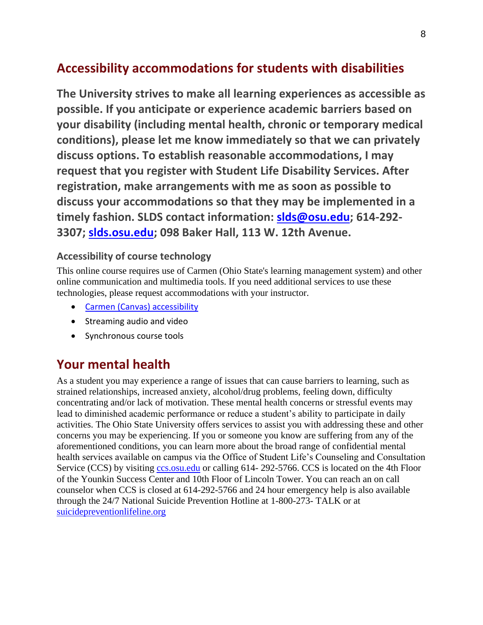# **Accessibility accommodations for students with disabilities**

**The University strives to make all learning experiences as accessible as possible. If you anticipate or experience academic barriers based on your disability (including mental health, chronic or temporary medical conditions), please let me know immediately so that we can privately discuss options. To establish reasonable accommodations, I may request that you register with Student Life Disability Services. After registration, make arrangements with me as soon as possible to discuss your accommodations so that they may be implemented in a timely fashion. SLDS contact information: [slds@osu.edu;](http://slds@osu.edu) 614-292- 3307; [slds.osu.edu;](http://slds.osu.edu/) 098 Baker Hall, 113 W. 12th Avenue.**

#### **Accessibility of course technology**

This online course requires use of Carmen (Ohio State's learning management system) and other online communication and multimedia tools. If you need additional services to use these technologies, please request accommodations with your instructor.

- [Carmen \(Canvas\) accessibility](https://community.canvaslms.com/docs/DOC-2061)
- Streaming audio and video
- Synchronous course tools

## **Your mental health**

As a student you may experience a range of issues that can cause barriers to learning, such as strained relationships, increased anxiety, alcohol/drug problems, feeling down, difficulty concentrating and/or lack of motivation. These mental health concerns or stressful events may lead to diminished academic performance or reduce a student's ability to participate in daily activities. The Ohio State University offers services to assist you with addressing these and other concerns you may be experiencing. If you or someone you know are suffering from any of the aforementioned conditions, you can learn more about the broad range of confidential mental health services available on campus via the Office of Student Life's Counseling and Consultation Service (CCS) by visiting [ccs.osu.edu](http://ccs.osu.edu/) or calling 614-292-5766. CCS is located on the 4th Floor of the Younkin Success Center and 10th Floor of Lincoln Tower. You can reach an on call counselor when CCS is closed at 614-292-5766 and 24 hour emergency help is also available through the 24/7 National Suicide Prevention Hotline at 1-800-273- TALK or at [suicidepreventionlifeline.org](http://suicidepreventionlifeline.org/)